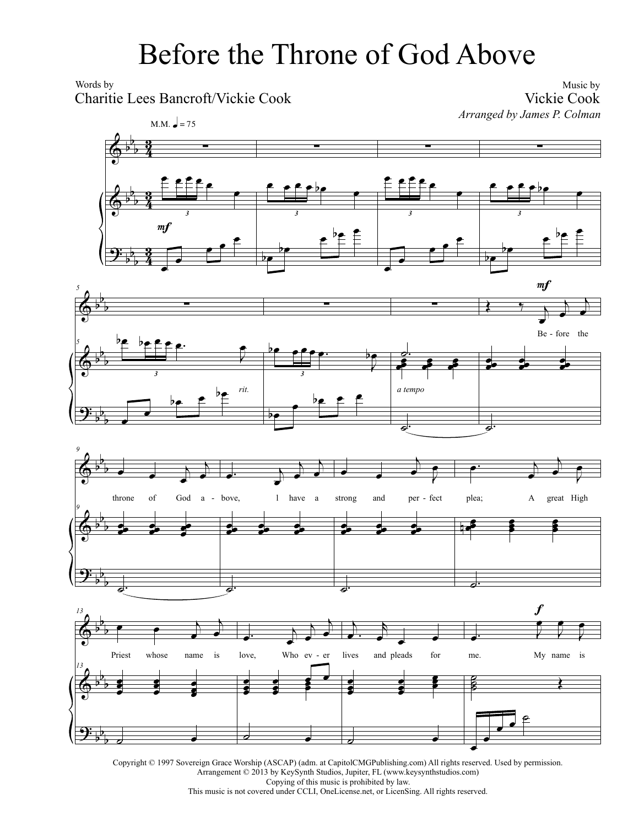## Before the Throne of God Above

Words by

Charitie Lees Bancroft/Vickie Cook

Music by Vickie Cook *Arranged by James P. Colman*









Copyright © 1997 Sovereign Grace Worship (ASCAP) (adm. at CapitolCMGPublishing.com) All rights reserved. Used by permission. Arrangement © 2013 by KeySynth Studios, Jupiter, FL (www.keysynthstudios.com) Copying of this music is prohibited by law. This music is not covered under CCLI, OneLicense.net, or LicenSing. All rights reserved.